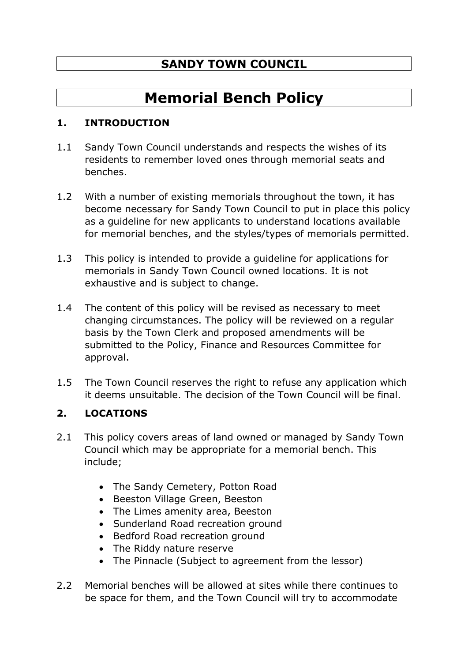# **Memorial Bench Policy**

## **1. INTRODUCTION**

- 1.1 Sandy Town Council understands and respects the wishes of its residents to remember loved ones through memorial seats and benches.
- 1.2 With a number of existing memorials throughout the town, it has become necessary for Sandy Town Council to put in place this policy as a guideline for new applicants to understand locations available for memorial benches, and the styles/types of memorials permitted.
- 1.3 This policy is intended to provide a guideline for applications for memorials in Sandy Town Council owned locations. It is not exhaustive and is subject to change.
- 1.4 The content of this policy will be revised as necessary to meet changing circumstances. The policy will be reviewed on a regular basis by the Town Clerk and proposed amendments will be submitted to the Policy, Finance and Resources Committee for approval.
- 1.5 The Town Council reserves the right to refuse any application which it deems unsuitable. The decision of the Town Council will be final.

# **2. LOCATIONS**

- 2.1 This policy covers areas of land owned or managed by Sandy Town Council which may be appropriate for a memorial bench. This include;
	- The Sandy Cemetery, Potton Road
	- Beeston Village Green, Beeston
	- The Limes amenity area, Beeston
	- Sunderland Road recreation ground
	- Bedford Road recreation ground
	- The Riddy nature reserve
	- The Pinnacle (Subject to agreement from the lessor)
- 2.2 Memorial benches will be allowed at sites while there continues to be space for them, and the Town Council will try to accommodate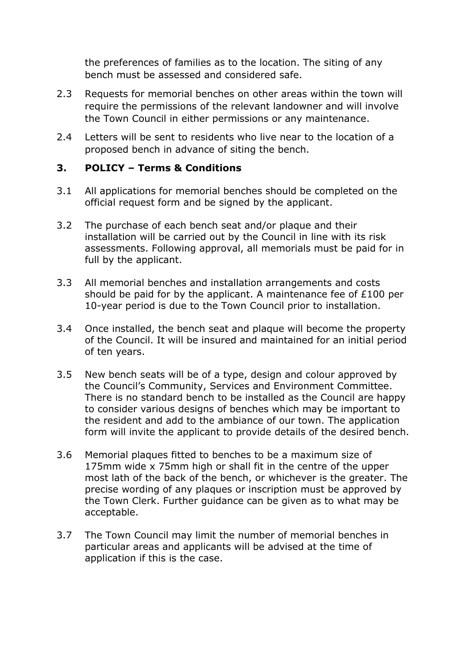the preferences of families as to the location. The siting of any bench must be assessed and considered safe.

- 2.3 Requests for memorial benches on other areas within the town will require the permissions of the relevant landowner and will involve the Town Council in either permissions or any maintenance.
- 2.4 Letters will be sent to residents who live near to the location of a proposed bench in advance of siting the bench.

#### **3. POLICY – Terms & Conditions**

- 3.1 All applications for memorial benches should be completed on the official request form and be signed by the applicant.
- 3.2 The purchase of each bench seat and/or plaque and their installation will be carried out by the Council in line with its risk assessments. Following approval, all memorials must be paid for in full by the applicant.
- 3.3 All memorial benches and installation arrangements and costs should be paid for by the applicant. A maintenance fee of £100 per 10-year period is due to the Town Council prior to installation.
- 3.4 Once installed, the bench seat and plaque will become the property of the Council. It will be insured and maintained for an initial period of ten years.
- 3.5 New bench seats will be of a type, design and colour approved by the Council's Community, Services and Environment Committee. There is no standard bench to be installed as the Council are happy to consider various designs of benches which may be important to the resident and add to the ambiance of our town. The application form will invite the applicant to provide details of the desired bench.
- 3.6 Memorial plaques fitted to benches to be a maximum size of 175mm wide x 75mm high or shall fit in the centre of the upper most lath of the back of the bench, or whichever is the greater. The precise wording of any plaques or inscription must be approved by the Town Clerk. Further guidance can be given as to what may be acceptable.
- 3.7 The Town Council may limit the number of memorial benches in particular areas and applicants will be advised at the time of application if this is the case.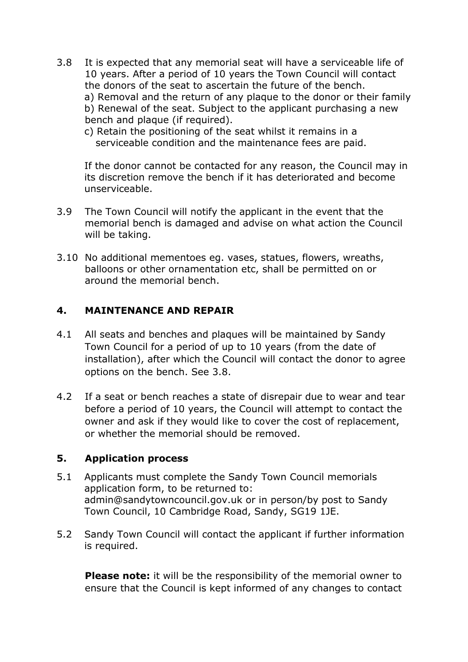- 3.8 It is expected that any memorial seat will have a serviceable life of 10 years. After a period of 10 years the Town Council will contact the donors of the seat to ascertain the future of the bench. a) Removal and the return of any plaque to the donor or their family b) Renewal of the seat. Subject to the applicant purchasing a new bench and plaque (if required).
	- c) Retain the positioning of the seat whilst it remains in a serviceable condition and the maintenance fees are paid.

If the donor cannot be contacted for any reason, the Council may in its discretion remove the bench if it has deteriorated and become unserviceable.

- 3.9 The Town Council will notify the applicant in the event that the memorial bench is damaged and advise on what action the Council will be taking.
- 3.10 No additional mementoes eg. vases, statues, flowers, wreaths, balloons or other ornamentation etc, shall be permitted on or around the memorial bench.

## **4. MAINTENANCE AND REPAIR**

- 4.1 All seats and benches and plaques will be maintained by Sandy Town Council for a period of up to 10 years (from the date of installation), after which the Council will contact the donor to agree options on the bench. See 3.8.
- 4.2 If a seat or bench reaches a state of disrepair due to wear and tear before a period of 10 years, the Council will attempt to contact the owner and ask if they would like to cover the cost of replacement, or whether the memorial should be removed.

#### **5. Application process**

- 5.1 Applicants must complete the Sandy Town Council memorials application form, to be returned to: admin@sandytowncouncil.gov.uk or in person/by post to Sandy Town Council, 10 Cambridge Road, Sandy, SG19 1JE.
- 5.2 Sandy Town Council will contact the applicant if further information is required.

**Please note:** it will be the responsibility of the memorial owner to ensure that the Council is kept informed of any changes to contact